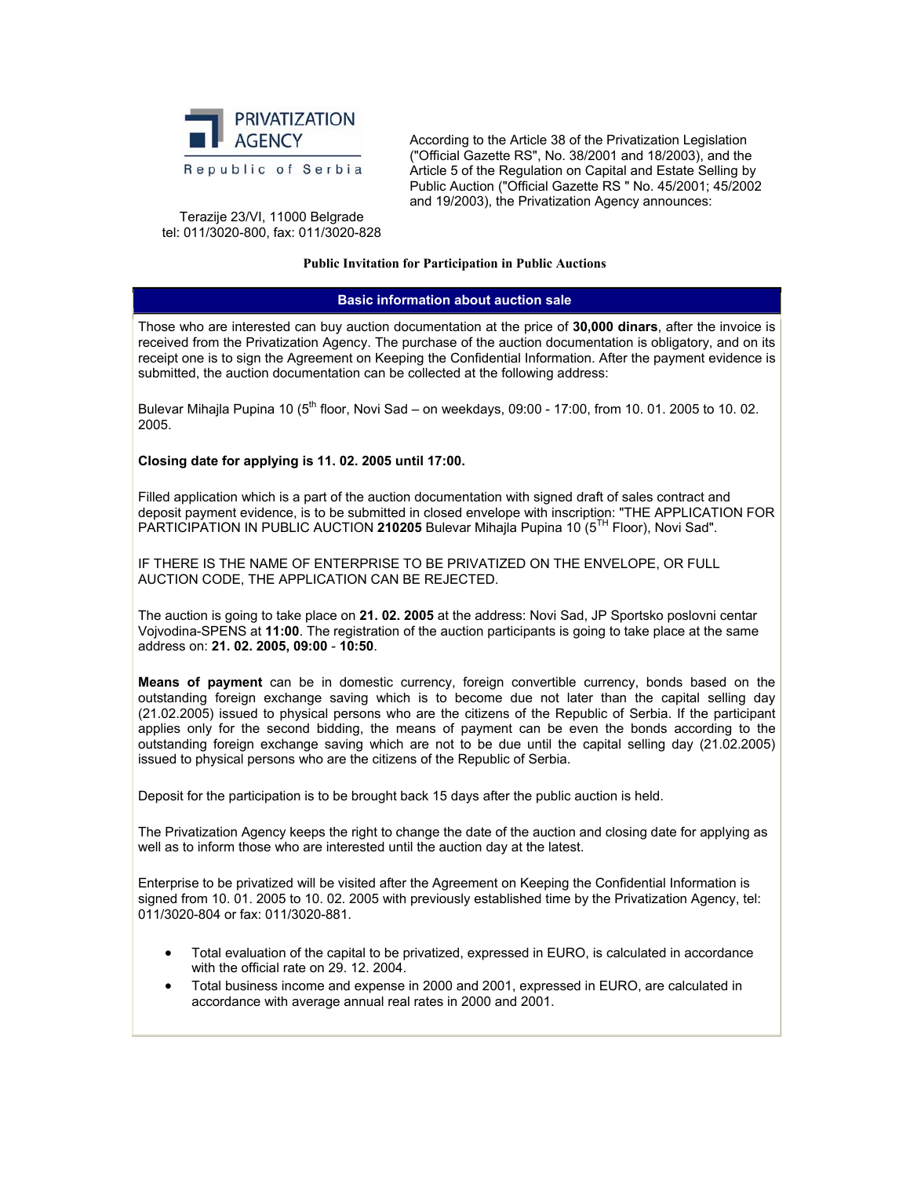

According to the Article 38 of the Privatization Legislation ("Official Gazette RS", No. 38/2001 and 18/2003), and the Article 5 of the Regulation on Capital and Estate Selling by Public Auction ("Official Gazette RS " No. 45/2001; 45/2002 and 19/2003), the Privatization Agency announces:

Terazije 23/VI, 11000 Belgrade tel: 011/3020-800, fax: 011/3020-828

#### **Public Invitation for Participation in Public Auctions**

#### **Basic information about auction sale**

Those who are interested can buy auction documentation at the price of **30,000 dinars**, after the invoice is received from the Privatization Agency. The purchase of the auction documentation is obligatory, and on its receipt one is to sign the Agreement on Keeping the Confidential Information. After the payment evidence is submitted, the auction documentation can be collected at the following address:

Bulevar Mihajla Pupina 10 ( $5<sup>th</sup>$  floor, Novi Sad – on weekdays, 09:00 - 17:00, from 10. 01. 2005 to 10. 02. 2005.

## **Closing date for applying is 11. 02. 2005 until 17:00.**

Filled application which is a part of the auction documentation with signed draft of sales contract and deposit payment evidence, is to be submitted in closed envelope with inscription: "THE APPLICATION FOR PARTICIPATION IN PUBLIC AUCTION 210205 Bulevar Mihajla Pupina 10 (5<sup>TH</sup> Floor), Novi Sad".

IF THERE IS THE NAME OF ENTERPRISE TO BE PRIVATIZED ON THE ENVELOPE, OR FULL AUCTION CODE, THE APPLICATION CAN BE REJECTED.

The auction is going to take place on **21. 02. 2005** at the address: Novi Sad, JP Sportsko poslovni centar Vojvodina-SPENS at **11:00**. The registration of the auction participants is going to take place at the same address on: **21. 02. 2005, 09:00** - **10:50**.

**Means of payment** can be in domestic currency, foreign convertible currency, bonds based on the outstanding foreign exchange saving which is to become due not later than the capital selling day (21.02.2005) issued to physical persons who are the citizens of the Republic of Serbia. If the participant applies only for the second bidding, the means of payment can be even the bonds according to the outstanding foreign exchange saving which are not to be due until the capital selling day (21.02.2005) issued to physical persons who are the citizens of the Republic of Serbia.

Deposit for the participation is to be brought back 15 days after the public auction is held.

The Privatization Agency keeps the right to change the date of the auction and closing date for applying as well as to inform those who are interested until the auction day at the latest.

Enterprise to be privatized will be visited after the Agreement on Keeping the Confidential Information is signed from 10. 01. 2005 to 10. 02. 2005 with previously established time by the Privatization Agency, tel: 011/3020-804 or fax: 011/3020-881.

- Total evaluation of the capital to be privatized, expressed in EURO, is calculated in accordance with the official rate on 29. 12. 2004.
- Total business income and expense in 2000 and 2001, expressed in EURO, are calculated in accordance with average annual real rates in 2000 and 2001.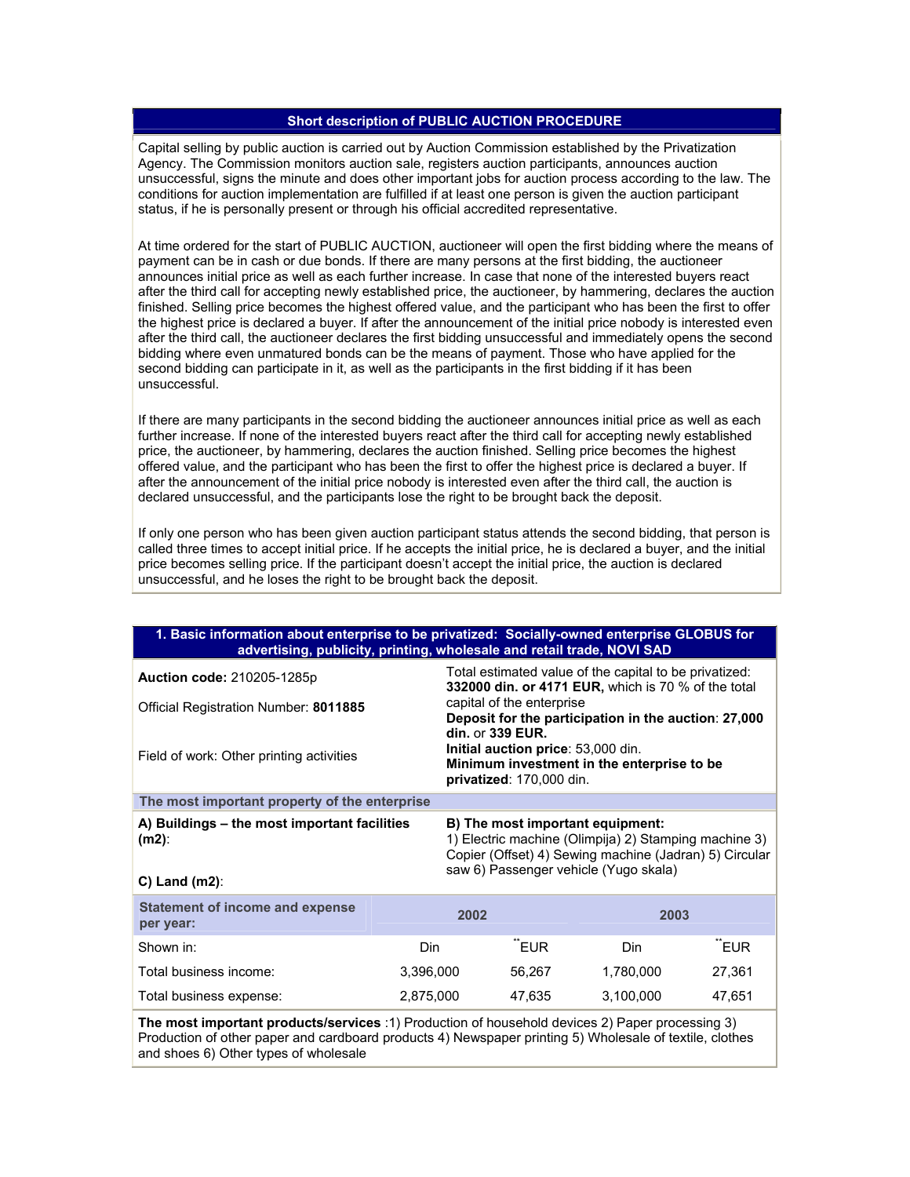## **Short description of PUBLIC AUCTION PROCEDURE**

Capital selling by public auction is carried out by Auction Commission established by the Privatization Agency. The Commission monitors auction sale, registers auction participants, announces auction unsuccessful, signs the minute and does other important jobs for auction process according to the law. The conditions for auction implementation are fulfilled if at least one person is given the auction participant status, if he is personally present or through his official accredited representative.

At time ordered for the start of PUBLIC AUCTION, auctioneer will open the first bidding where the means of payment can be in cash or due bonds. If there are many persons at the first bidding, the auctioneer announces initial price as well as each further increase. In case that none of the interested buyers react after the third call for accepting newly established price, the auctioneer, by hammering, declares the auction finished. Selling price becomes the highest offered value, and the participant who has been the first to offer the highest price is declared a buyer. If after the announcement of the initial price nobody is interested even after the third call, the auctioneer declares the first bidding unsuccessful and immediately opens the second bidding where even unmatured bonds can be the means of payment. Those who have applied for the second bidding can participate in it, as well as the participants in the first bidding if it has been unsuccessful.

If there are many participants in the second bidding the auctioneer announces initial price as well as each further increase. If none of the interested buyers react after the third call for accepting newly established price, the auctioneer, by hammering, declares the auction finished. Selling price becomes the highest offered value, and the participant who has been the first to offer the highest price is declared a buyer. If after the announcement of the initial price nobody is interested even after the third call, the auction is declared unsuccessful, and the participants lose the right to be brought back the deposit.

If only one person who has been given auction participant status attends the second bidding, that person is called three times to accept initial price. If he accepts the initial price, he is declared a buyer, and the initial price becomes selling price. If the participant doesn't accept the initial price, the auction is declared unsuccessful, and he loses the right to be brought back the deposit.

| 1. Basic information about enterprise to be privatized: Socially-owned enterprise GLOBUS for<br>advertising, publicity, printing, wholesale and retail trade, NOVI SAD                                     |              |                                                                                                                                  |                                                                                                               |                                                                                                                                                                                              |        |  |
|------------------------------------------------------------------------------------------------------------------------------------------------------------------------------------------------------------|--------------|----------------------------------------------------------------------------------------------------------------------------------|---------------------------------------------------------------------------------------------------------------|----------------------------------------------------------------------------------------------------------------------------------------------------------------------------------------------|--------|--|
| Auction code: 210205-1285p                                                                                                                                                                                 |              |                                                                                                                                  | Total estimated value of the capital to be privatized:<br>332000 din. or 4171 EUR, which is 70 % of the total |                                                                                                                                                                                              |        |  |
| Official Registration Number: 8011885                                                                                                                                                                      |              |                                                                                                                                  | capital of the enterprise<br>Deposit for the participation in the auction: 27,000                             |                                                                                                                                                                                              |        |  |
| Field of work: Other printing activities                                                                                                                                                                   |              | din. or 339 EUR.<br>Initial auction price: 53,000 din.<br>Minimum investment in the enterprise to be<br>privatized: 170,000 din. |                                                                                                               |                                                                                                                                                                                              |        |  |
| The most important property of the enterprise                                                                                                                                                              |              |                                                                                                                                  |                                                                                                               |                                                                                                                                                                                              |        |  |
| A) Buildings - the most important facilities<br>$(m2)$ :<br>$C$ ) Land (m2):                                                                                                                               |              |                                                                                                                                  |                                                                                                               | B) The most important equipment:<br>1) Electric machine (Olimpija) 2) Stamping machine 3)<br>Copier (Offset) 4) Sewing machine (Jadran) 5) Circular<br>saw 6) Passenger vehicle (Yugo skala) |        |  |
| <b>Statement of income and expense</b><br>per year:                                                                                                                                                        |              | 2002                                                                                                                             |                                                                                                               | 2003                                                                                                                                                                                         |        |  |
| Shown in:                                                                                                                                                                                                  | "EUR<br>Din. |                                                                                                                                  | Din.                                                                                                          | "EUR                                                                                                                                                                                         |        |  |
| Total business income:                                                                                                                                                                                     | 3,396,000    |                                                                                                                                  | 56,267                                                                                                        | 1,780,000                                                                                                                                                                                    | 27,361 |  |
| Total business expense:                                                                                                                                                                                    | 2,875,000    |                                                                                                                                  | 47,635                                                                                                        | 3,100,000                                                                                                                                                                                    | 47,651 |  |
| The most important products/services :1) Production of household devices 2) Paper processing 3)<br>Production of other paper and cardboard products 4) Newspaper printing 5) Wholesale of textile, clothes |              |                                                                                                                                  |                                                                                                               |                                                                                                                                                                                              |        |  |

and shoes 6) Other types of wholesale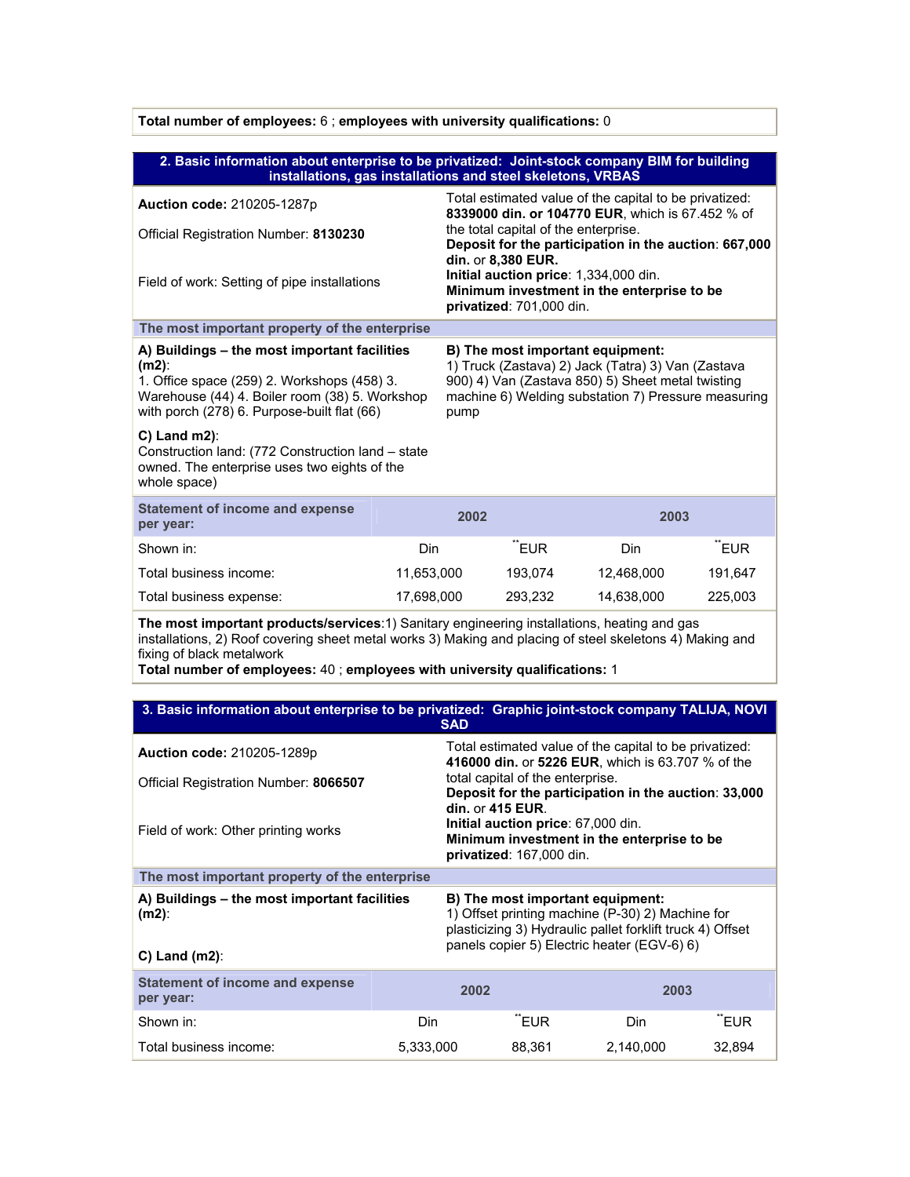| 2. Basic information about enterprise to be privatized: Joint-stock company BIM for building<br>installations, gas installations and steel skeletons, VRBAS                                                                                                                                                         |            |                                                                                                                                                                                                                                                                                                                                                      |                                                                                                              |                                                                                                             |         |
|---------------------------------------------------------------------------------------------------------------------------------------------------------------------------------------------------------------------------------------------------------------------------------------------------------------------|------------|------------------------------------------------------------------------------------------------------------------------------------------------------------------------------------------------------------------------------------------------------------------------------------------------------------------------------------------------------|--------------------------------------------------------------------------------------------------------------|-------------------------------------------------------------------------------------------------------------|---------|
| Auction code: 210205-1287p<br>Official Registration Number: 8130230<br>Field of work: Setting of pipe installations                                                                                                                                                                                                 |            | Total estimated value of the capital to be privatized:<br>8339000 din. or 104770 EUR, which is 67.452 % of<br>the total capital of the enterprise.<br>Deposit for the participation in the auction: 667,000<br>din. or 8,380 EUR.<br>Initial auction price: 1,334,000 din.<br>Minimum investment in the enterprise to be<br>privatized: 701,000 din. |                                                                                                              |                                                                                                             |         |
| The most important property of the enterprise                                                                                                                                                                                                                                                                       |            |                                                                                                                                                                                                                                                                                                                                                      |                                                                                                              |                                                                                                             |         |
| A) Buildings - the most important facilities<br>$(m2)$ :<br>1. Office space (259) 2. Workshops (458) 3.<br>Warehouse (44) 4. Boiler room (38) 5. Workshop<br>with porch (278) 6. Purpose-built flat (66)                                                                                                            |            | B) The most important equipment:<br>1) Truck (Zastava) 2) Jack (Tatra) 3) Van (Zastava<br>900) 4) Van (Zastava 850) 5) Sheet metal twisting<br>machine 6) Welding substation 7) Pressure measuring<br>pump                                                                                                                                           |                                                                                                              |                                                                                                             |         |
| $C$ ) Land m2):<br>Construction land: (772 Construction land - state<br>owned. The enterprise uses two eights of the<br>whole space)                                                                                                                                                                                |            |                                                                                                                                                                                                                                                                                                                                                      |                                                                                                              |                                                                                                             |         |
| <b>Statement of income and expense</b><br>per year:                                                                                                                                                                                                                                                                 |            | 2002                                                                                                                                                                                                                                                                                                                                                 |                                                                                                              | 2003                                                                                                        |         |
| Shown in:                                                                                                                                                                                                                                                                                                           | Din        |                                                                                                                                                                                                                                                                                                                                                      | "EUR                                                                                                         | Din.                                                                                                        | "EUR    |
| Total business income:                                                                                                                                                                                                                                                                                              | 11,653,000 |                                                                                                                                                                                                                                                                                                                                                      | 193,074                                                                                                      | 12,468,000                                                                                                  | 191,647 |
| Total business expense:                                                                                                                                                                                                                                                                                             | 17,698,000 |                                                                                                                                                                                                                                                                                                                                                      | 293,232                                                                                                      | 14,638,000                                                                                                  | 225,003 |
| The most important products/services:1) Sanitary engineering installations, heating and gas<br>installations, 2) Roof covering sheet metal works 3) Making and placing of steel skeletons 4) Making and<br>fixing of black metalwork<br>Total number of employees: 40 ; employees with university qualifications: 1 |            |                                                                                                                                                                                                                                                                                                                                                      |                                                                                                              |                                                                                                             |         |
|                                                                                                                                                                                                                                                                                                                     |            |                                                                                                                                                                                                                                                                                                                                                      |                                                                                                              |                                                                                                             |         |
| 3. Basic information about enterprise to be privatized: Graphic joint-stock company TALIJA, NOVI                                                                                                                                                                                                                    |            | <b>SAD</b>                                                                                                                                                                                                                                                                                                                                           |                                                                                                              |                                                                                                             |         |
| Auction code: 210205-1289p                                                                                                                                                                                                                                                                                          |            |                                                                                                                                                                                                                                                                                                                                                      |                                                                                                              | Total estimated value of the capital to be privatized:<br>416000 din. or 5226 EUR, which is 63.707 % of the |         |
| Official Registration Number: 8066507                                                                                                                                                                                                                                                                               |            |                                                                                                                                                                                                                                                                                                                                                      | total capital of the enterprise.<br>Deposit for the participation in the auction: 33,000<br>din. or 415 EUR. |                                                                                                             |         |
| Field of work: Other printing works                                                                                                                                                                                                                                                                                 |            | Initial auction price: 67,000 din.<br>Minimum investment in the enterprise to be<br>privatized: 167,000 din.                                                                                                                                                                                                                                         |                                                                                                              |                                                                                                             |         |
| The most important property of the enterprise                                                                                                                                                                                                                                                                       |            |                                                                                                                                                                                                                                                                                                                                                      |                                                                                                              |                                                                                                             |         |
| A) Buildings - the most important facilities<br>$(m2)$ :<br>$C)$ Land (m2):                                                                                                                                                                                                                                         |            | B) The most important equipment:<br>1) Offset printing machine (P-30) 2) Machine for<br>plasticizing 3) Hydraulic pallet forklift truck 4) Offset<br>panels copier 5) Electric heater (EGV-6) 6)                                                                                                                                                     |                                                                                                              |                                                                                                             |         |
|                                                                                                                                                                                                                                                                                                                     |            |                                                                                                                                                                                                                                                                                                                                                      |                                                                                                              |                                                                                                             |         |
| <b>Statement of income and expense</b><br>per year:                                                                                                                                                                                                                                                                 |            | 2002                                                                                                                                                                                                                                                                                                                                                 |                                                                                                              | 2003                                                                                                        |         |

Shown in: The state of the Solid Community Community Din to the Number of Team Teur and the Solid Community Community Community Community Community Community Community Community Community Community Community Community Comm Total business income: 5,333,000 88,361 2,140,000 32,894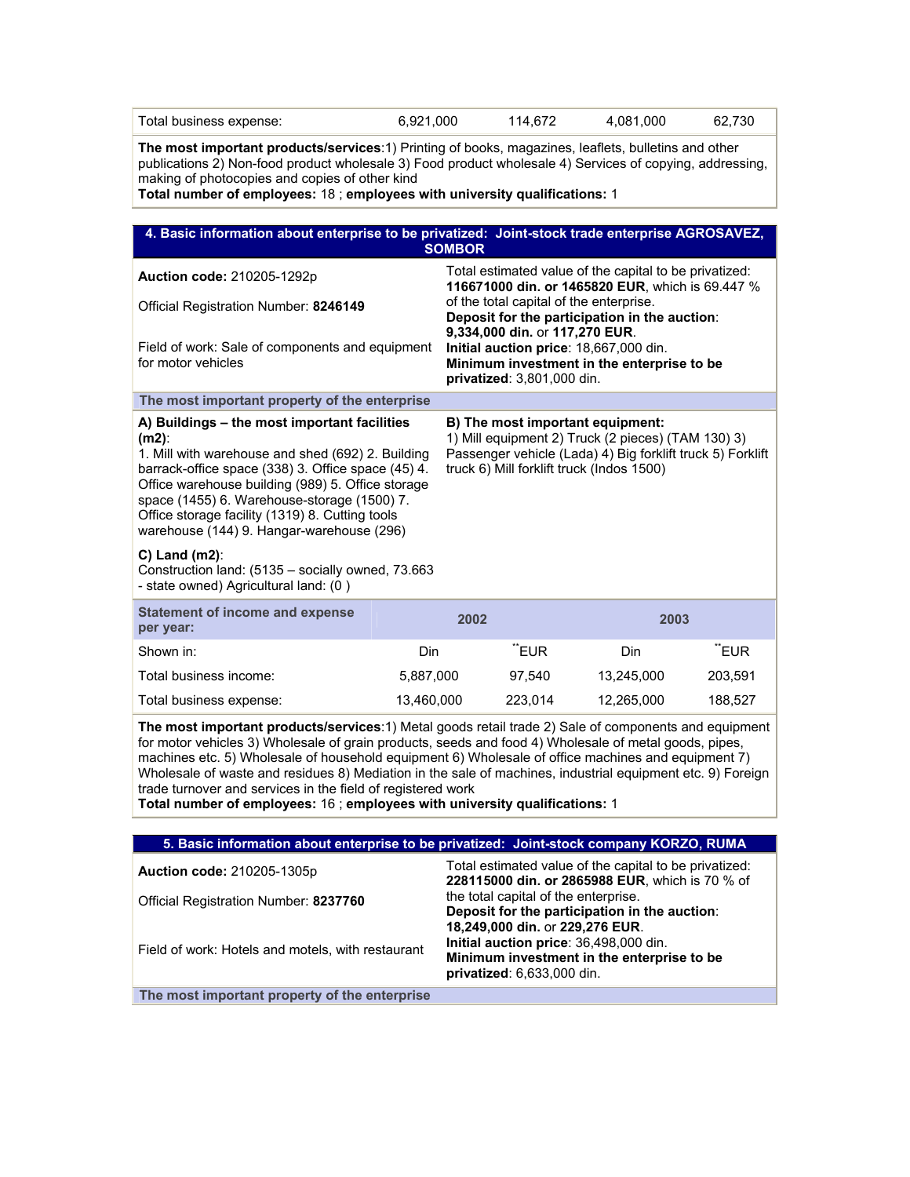| Total business expense:                                                                                                                                                                                                                                                                                                                                                                                                                                                                                                                                                         | 6,921,000                                                                                                                                                                                              |                                                                                                                                                                                                                                                  | 114,672                                                                                                                                                                                           | 4,081,000                                                                                                  | 62,730  |  |  |
|---------------------------------------------------------------------------------------------------------------------------------------------------------------------------------------------------------------------------------------------------------------------------------------------------------------------------------------------------------------------------------------------------------------------------------------------------------------------------------------------------------------------------------------------------------------------------------|--------------------------------------------------------------------------------------------------------------------------------------------------------------------------------------------------------|--------------------------------------------------------------------------------------------------------------------------------------------------------------------------------------------------------------------------------------------------|---------------------------------------------------------------------------------------------------------------------------------------------------------------------------------------------------|------------------------------------------------------------------------------------------------------------|---------|--|--|
| The most important products/services:1) Printing of books, magazines, leaflets, bulletins and other<br>publications 2) Non-food product wholesale 3) Food product wholesale 4) Services of copying, addressing,<br>making of photocopies and copies of other kind<br>Total number of employees: 18 ; employees with university qualifications: 1                                                                                                                                                                                                                                |                                                                                                                                                                                                        |                                                                                                                                                                                                                                                  |                                                                                                                                                                                                   |                                                                                                            |         |  |  |
| 4. Basic information about enterprise to be privatized: Joint-stock trade enterprise AGROSAVEZ,                                                                                                                                                                                                                                                                                                                                                                                                                                                                                 |                                                                                                                                                                                                        |                                                                                                                                                                                                                                                  |                                                                                                                                                                                                   |                                                                                                            |         |  |  |
| <b>SOMBOR</b>                                                                                                                                                                                                                                                                                                                                                                                                                                                                                                                                                                   |                                                                                                                                                                                                        |                                                                                                                                                                                                                                                  |                                                                                                                                                                                                   |                                                                                                            |         |  |  |
| Auction code: 210205-1292p                                                                                                                                                                                                                                                                                                                                                                                                                                                                                                                                                      |                                                                                                                                                                                                        |                                                                                                                                                                                                                                                  |                                                                                                                                                                                                   | Total estimated value of the capital to be privatized:<br>116671000 din. or 1465820 EUR, which is 69.447 % |         |  |  |
| Official Registration Number: 8246149                                                                                                                                                                                                                                                                                                                                                                                                                                                                                                                                           |                                                                                                                                                                                                        | of the total capital of the enterprise.<br>Deposit for the participation in the auction:<br>9,334,000 din. or 117,270 EUR.<br>Initial auction price: 18,667,000 din.<br>Minimum investment in the enterprise to be<br>privatized: 3,801,000 din. |                                                                                                                                                                                                   |                                                                                                            |         |  |  |
| Field of work: Sale of components and equipment<br>for motor vehicles                                                                                                                                                                                                                                                                                                                                                                                                                                                                                                           |                                                                                                                                                                                                        |                                                                                                                                                                                                                                                  |                                                                                                                                                                                                   |                                                                                                            |         |  |  |
| The most important property of the enterprise                                                                                                                                                                                                                                                                                                                                                                                                                                                                                                                                   |                                                                                                                                                                                                        |                                                                                                                                                                                                                                                  |                                                                                                                                                                                                   |                                                                                                            |         |  |  |
| A) Buildings - the most important facilities<br>$(m2)$ :<br>1. Mill with warehouse and shed (692) 2. Building<br>barrack-office space (338) 3. Office space (45) 4.<br>Office warehouse building (989) 5. Office storage<br>space (1455) 6. Warehouse-storage (1500) 7.<br>Office storage facility (1319) 8. Cutting tools<br>warehouse (144) 9. Hangar-warehouse (296)                                                                                                                                                                                                         |                                                                                                                                                                                                        |                                                                                                                                                                                                                                                  | B) The most important equipment:<br>1) Mill equipment 2) Truck (2 pieces) (TAM 130) 3)<br>Passenger vehicle (Lada) 4) Big forklift truck 5) Forklift<br>truck 6) Mill forklift truck (Indos 1500) |                                                                                                            |         |  |  |
| C) Land $(m2)$ :<br>Construction land: (5135 - socially owned, 73.663<br>- state owned) Agricultural land: (0)                                                                                                                                                                                                                                                                                                                                                                                                                                                                  |                                                                                                                                                                                                        |                                                                                                                                                                                                                                                  |                                                                                                                                                                                                   |                                                                                                            |         |  |  |
| <b>Statement of income and expense</b><br>per year:                                                                                                                                                                                                                                                                                                                                                                                                                                                                                                                             |                                                                                                                                                                                                        | 2002                                                                                                                                                                                                                                             |                                                                                                                                                                                                   | 2003                                                                                                       |         |  |  |
| Shown in:                                                                                                                                                                                                                                                                                                                                                                                                                                                                                                                                                                       | Din                                                                                                                                                                                                    |                                                                                                                                                                                                                                                  | "EUR                                                                                                                                                                                              | Din                                                                                                        | "EUR    |  |  |
| Total business income:                                                                                                                                                                                                                                                                                                                                                                                                                                                                                                                                                          | 5,887,000                                                                                                                                                                                              |                                                                                                                                                                                                                                                  | 97,540                                                                                                                                                                                            | 13,245,000                                                                                                 | 203,591 |  |  |
| Total business expense:                                                                                                                                                                                                                                                                                                                                                                                                                                                                                                                                                         | 13,460,000                                                                                                                                                                                             |                                                                                                                                                                                                                                                  | 223,014                                                                                                                                                                                           | 12,265,000                                                                                                 | 188,527 |  |  |
| The most important products/services:1) Metal goods retail trade 2) Sale of components and equipment<br>for motor vehicles 3) Wholesale of grain products, seeds and food 4) Wholesale of metal goods, pipes,<br>machines etc. 5) Wholesale of household equipment 6) Wholesale of office machines and equipment 7)<br>Wholesale of waste and residues 8) Mediation in the sale of machines, industrial equipment etc. 9) Foreign<br>trade turnover and services in the field of registered work<br>Total number of employees: 16 ; employees with university qualifications: 1 |                                                                                                                                                                                                        |                                                                                                                                                                                                                                                  |                                                                                                                                                                                                   |                                                                                                            |         |  |  |
| 5. Basic information about enterprise to be privatized: Joint-stock company KORZO, RUMA                                                                                                                                                                                                                                                                                                                                                                                                                                                                                         |                                                                                                                                                                                                        |                                                                                                                                                                                                                                                  |                                                                                                                                                                                                   |                                                                                                            |         |  |  |
| Auction code: 210205-1305p                                                                                                                                                                                                                                                                                                                                                                                                                                                                                                                                                      |                                                                                                                                                                                                        |                                                                                                                                                                                                                                                  |                                                                                                                                                                                                   | Total estimated value of the capital to be privatized:                                                     |         |  |  |
| Official Registration Number: 8237760                                                                                                                                                                                                                                                                                                                                                                                                                                                                                                                                           |                                                                                                                                                                                                        | 228115000 din. or 2865988 EUR, which is 70 % of<br>the total capital of the enterprise.                                                                                                                                                          |                                                                                                                                                                                                   |                                                                                                            |         |  |  |
| Field of work: Hotels and motels, with restaurant                                                                                                                                                                                                                                                                                                                                                                                                                                                                                                                               | Deposit for the participation in the auction:<br>18,249,000 din. or 229,276 EUR.<br>Initial auction price: 36,498,000 din.<br>Minimum investment in the enterprise to be<br>privatized: 6,633,000 din. |                                                                                                                                                                                                                                                  |                                                                                                                                                                                                   |                                                                                                            |         |  |  |
| The most important property of the enterprise                                                                                                                                                                                                                                                                                                                                                                                                                                                                                                                                   |                                                                                                                                                                                                        |                                                                                                                                                                                                                                                  |                                                                                                                                                                                                   |                                                                                                            |         |  |  |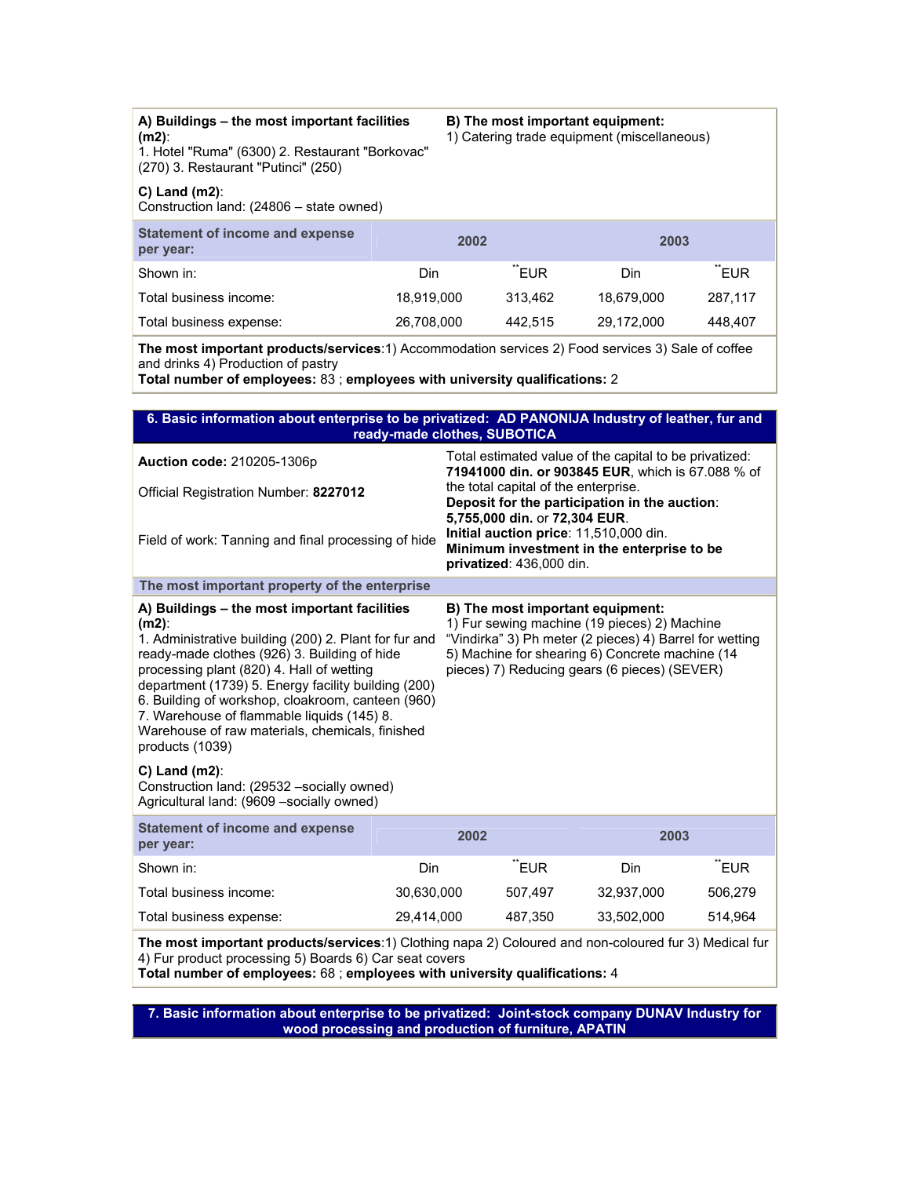|          | A) Buildings – the most important facilities |  |
|----------|----------------------------------------------|--|
| $(m2)$ : |                                              |  |

1. Hotel "Ruma" (6300) 2. Restaurant "Borkovac" (270) 3. Restaurant "Putinci" (250)

## **C) Land (m2)**:

Construction land: (24806 – state owned)

| Statement of income and expense<br>per year: | 2002       |         | 2003       |                   |
|----------------------------------------------|------------|---------|------------|-------------------|
|                                              |            |         |            |                   |
| Shown in:                                    | Din        | "EUR    | Din        | TEUR <sup>*</sup> |
| Total business income:                       | 18.919.000 | 313.462 | 18.679.000 | 287.117           |
| Total business expense:                      | 26,708,000 | 442.515 | 29,172,000 | 448.407           |

**B) The most important equipment:** 1) Catering trade equipment (miscellaneous)

**The most important products/services**:1) Accommodation services 2) Food services 3) Sale of coffee and drinks 4) Production of pastry

**Total number of employees:** 83 ; **employees with university qualifications:** 2

| 6. Basic information about enterprise to be privatized: AD PANONIJA Industry of leather, fur and<br>ready-made clothes, SUBOTICA                                                                                                                                                                                                                                                                                                                                                                                                                                                                                                                                                                                                                                                                                 |                                     |                                                                                                                                                   |                                                                                                             |                                               |         |  |
|------------------------------------------------------------------------------------------------------------------------------------------------------------------------------------------------------------------------------------------------------------------------------------------------------------------------------------------------------------------------------------------------------------------------------------------------------------------------------------------------------------------------------------------------------------------------------------------------------------------------------------------------------------------------------------------------------------------------------------------------------------------------------------------------------------------|-------------------------------------|---------------------------------------------------------------------------------------------------------------------------------------------------|-------------------------------------------------------------------------------------------------------------|-----------------------------------------------|---------|--|
| Auction code: 210205-1306p                                                                                                                                                                                                                                                                                                                                                                                                                                                                                                                                                                                                                                                                                                                                                                                       |                                     |                                                                                                                                                   | Total estimated value of the capital to be privatized:<br>71941000 din. or 903845 EUR, which is 67.088 % of |                                               |         |  |
| Official Registration Number: 8227012                                                                                                                                                                                                                                                                                                                                                                                                                                                                                                                                                                                                                                                                                                                                                                            |                                     |                                                                                                                                                   | the total capital of the enterprise.                                                                        | Deposit for the participation in the auction: |         |  |
| Field of work: Tanning and final processing of hide                                                                                                                                                                                                                                                                                                                                                                                                                                                                                                                                                                                                                                                                                                                                                              |                                     | 5,755,000 din. or 72,304 EUR.<br>Initial auction price: 11,510,000 din.<br>Minimum investment in the enterprise to be<br>privatized: 436,000 din. |                                                                                                             |                                               |         |  |
| The most important property of the enterprise                                                                                                                                                                                                                                                                                                                                                                                                                                                                                                                                                                                                                                                                                                                                                                    |                                     |                                                                                                                                                   |                                                                                                             |                                               |         |  |
| A) Buildings - the most important facilities<br>B) The most important equipment:<br>1) Fur sewing machine (19 pieces) 2) Machine<br>$(m2)$ :<br>1. Administrative building (200) 2. Plant for fur and<br>"Vindirka" 3) Ph meter (2 pieces) 4) Barrel for wetting<br>ready-made clothes (926) 3. Building of hide<br>5) Machine for shearing 6) Concrete machine (14<br>processing plant (820) 4. Hall of wetting<br>pieces) 7) Reducing gears (6 pieces) (SEVER)<br>department (1739) 5. Energy facility building (200)<br>6. Building of workshop, cloakroom, canteen (960)<br>7. Warehouse of flammable liquids (145) 8.<br>Warehouse of raw materials, chemicals, finished<br>products (1039)<br>$C$ ) Land (m2):<br>Construction land: (29532 -socially owned)<br>Agricultural land: (9609 - socially owned) |                                     |                                                                                                                                                   |                                                                                                             |                                               |         |  |
| <b>Statement of income and expense</b><br>per year:                                                                                                                                                                                                                                                                                                                                                                                                                                                                                                                                                                                                                                                                                                                                                              | 2002<br>2003                        |                                                                                                                                                   |                                                                                                             |                                               |         |  |
| Shown in:                                                                                                                                                                                                                                                                                                                                                                                                                                                                                                                                                                                                                                                                                                                                                                                                        | "EUR<br>Din                         |                                                                                                                                                   |                                                                                                             | Din                                           | "EUR    |  |
| Total business income:                                                                                                                                                                                                                                                                                                                                                                                                                                                                                                                                                                                                                                                                                                                                                                                           | 30,630,000                          |                                                                                                                                                   | 507,497                                                                                                     | 32,937,000                                    | 506,279 |  |
| Total business expense:                                                                                                                                                                                                                                                                                                                                                                                                                                                                                                                                                                                                                                                                                                                                                                                          | 29,414,000<br>487,350<br>33,502,000 |                                                                                                                                                   |                                                                                                             | 514.964                                       |         |  |
| The most important products/services:1) Clothing napa 2) Coloured and non-coloured fur 3) Medical fur<br>4) Fur product processing 5) Boards 6) Car seat covers<br>Total number of employees: 68 ; employees with university qualifications: 4                                                                                                                                                                                                                                                                                                                                                                                                                                                                                                                                                                   |                                     |                                                                                                                                                   |                                                                                                             |                                               |         |  |

**7. Basic information about enterprise to be privatized: Joint-stock company DUNAV Industry for wood processing and production of furniture, APATIN**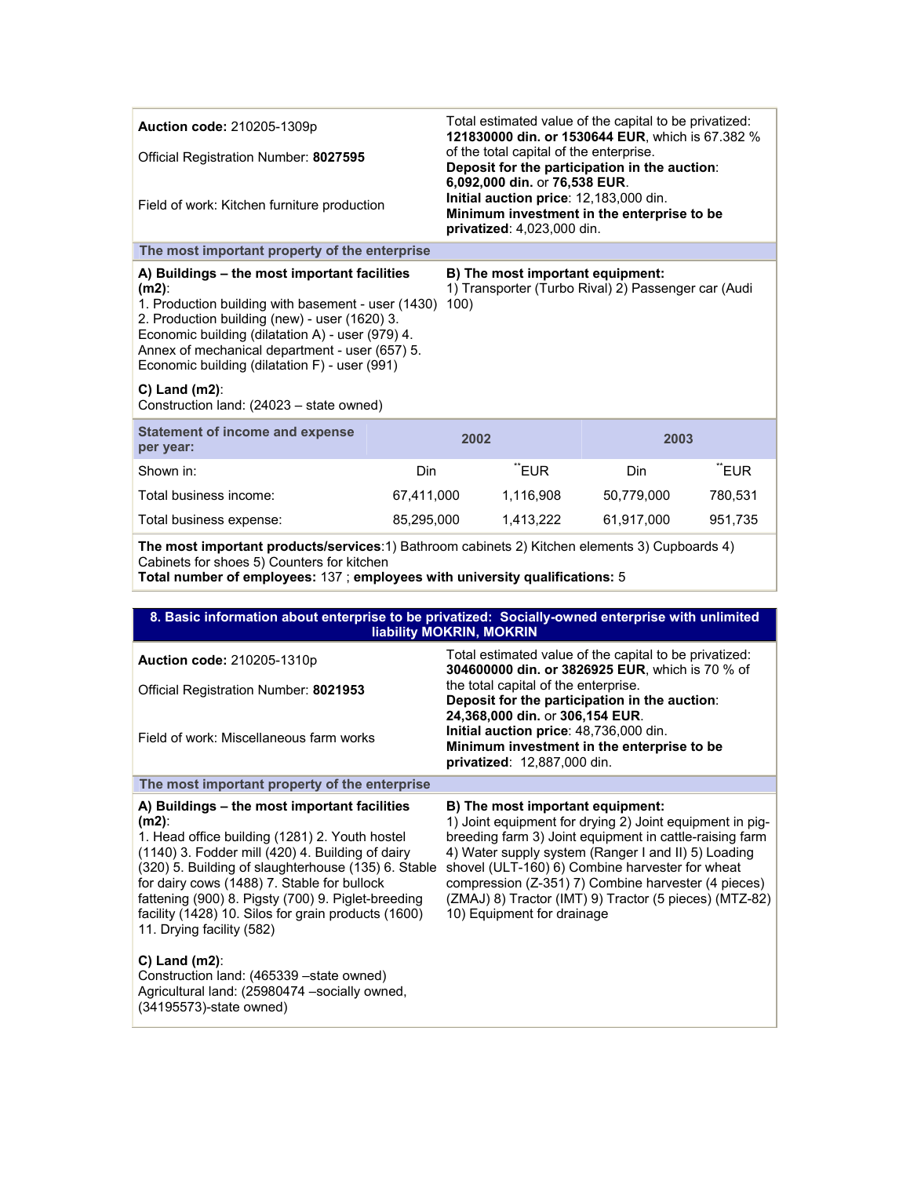| <b>Auction code: 210205-1309p</b>                                                                                                                                                                                                                                                                                                                                                                                                                                                        |              | Total estimated value of the capital to be privatized:<br>121830000 din. or 1530644 EUR, which is 67.382 %                                          |            |         |  |  |
|------------------------------------------------------------------------------------------------------------------------------------------------------------------------------------------------------------------------------------------------------------------------------------------------------------------------------------------------------------------------------------------------------------------------------------------------------------------------------------------|--------------|-----------------------------------------------------------------------------------------------------------------------------------------------------|------------|---------|--|--|
| Official Registration Number: 8027595                                                                                                                                                                                                                                                                                                                                                                                                                                                    |              | of the total capital of the enterprise.<br>Deposit for the participation in the auction:                                                            |            |         |  |  |
| Field of work: Kitchen furniture production                                                                                                                                                                                                                                                                                                                                                                                                                                              |              | 6,092,000 din. or 76,538 EUR.<br>Initial auction price: 12,183,000 din.<br>Minimum investment in the enterprise to be<br>privatized: 4,023,000 din. |            |         |  |  |
| The most important property of the enterprise                                                                                                                                                                                                                                                                                                                                                                                                                                            |              |                                                                                                                                                     |            |         |  |  |
| A) Buildings - the most important facilities<br>B) The most important equipment:<br>1) Transporter (Turbo Rival) 2) Passenger car (Audi<br>$(m2)$ :<br>1. Production building with basement - user (1430)<br>100)<br>2. Production building (new) - user (1620) 3.<br>Economic building (dilatation A) - user (979) 4.<br>Annex of mechanical department - user (657) 5.<br>Economic building (dilatation F) - user (991)<br>$C)$ Land (m2):<br>Construction land: (24023 - state owned) |              |                                                                                                                                                     |            |         |  |  |
| <b>Statement of income and expense</b><br>per year:                                                                                                                                                                                                                                                                                                                                                                                                                                      | 2002<br>2003 |                                                                                                                                                     |            |         |  |  |
| Shown in:                                                                                                                                                                                                                                                                                                                                                                                                                                                                                | Din          | "EUR                                                                                                                                                | Din        | "EUR    |  |  |
| Total business income:                                                                                                                                                                                                                                                                                                                                                                                                                                                                   | 67,411,000   | 1,116,908                                                                                                                                           | 50,779,000 | 780,531 |  |  |
| Total business expense:                                                                                                                                                                                                                                                                                                                                                                                                                                                                  | 85,295,000   | 1,413,222                                                                                                                                           | 61,917,000 | 951,735 |  |  |
| The most important products/services:1) Bathroom cabinets 2) Kitchen elements 3) Cupboards 4)<br>Cabinets for shoes 5) Counters for kitchen                                                                                                                                                                                                                                                                                                                                              |              |                                                                                                                                                     |            |         |  |  |

**Total number of employees:** 137 ; **employees with university qualifications:** 5

|                                                                                                                                                                                                                                                                                                                                                                                                                | 8. Basic information about enterprise to be privatized: Socially-owned enterprise with unlimited<br>liability MOKRIN, MOKRIN                                                                                                                                                                                                                                                                                     |  |  |  |  |
|----------------------------------------------------------------------------------------------------------------------------------------------------------------------------------------------------------------------------------------------------------------------------------------------------------------------------------------------------------------------------------------------------------------|------------------------------------------------------------------------------------------------------------------------------------------------------------------------------------------------------------------------------------------------------------------------------------------------------------------------------------------------------------------------------------------------------------------|--|--|--|--|
| <b>Auction code: 210205-1310p</b>                                                                                                                                                                                                                                                                                                                                                                              | Total estimated value of the capital to be privatized:<br>304600000 din. or 3826925 EUR, which is 70 % of                                                                                                                                                                                                                                                                                                        |  |  |  |  |
| Official Registration Number: 8021953                                                                                                                                                                                                                                                                                                                                                                          | the total capital of the enterprise.<br>Deposit for the participation in the auction:                                                                                                                                                                                                                                                                                                                            |  |  |  |  |
| Field of work: Miscellaneous farm works                                                                                                                                                                                                                                                                                                                                                                        | 24,368,000 din. or 306,154 EUR.<br>Initial auction price: 48,736,000 din.<br>Minimum investment in the enterprise to be<br>privatized: 12,887,000 din.                                                                                                                                                                                                                                                           |  |  |  |  |
| The most important property of the enterprise                                                                                                                                                                                                                                                                                                                                                                  |                                                                                                                                                                                                                                                                                                                                                                                                                  |  |  |  |  |
| A) Buildings – the most important facilities<br>$(m2)$ :<br>1. Head office building (1281) 2. Youth hostel<br>(1140) 3. Fodder mill (420) 4. Building of dairy<br>(320) 5. Building of slaughterhouse (135) 6. Stable<br>for dairy cows (1488) 7. Stable for bullock<br>fattening (900) 8. Pigsty (700) 9. Piglet-breeding<br>facility (1428) 10. Silos for grain products (1600)<br>11. Drying facility (582) | B) The most important equipment:<br>1) Joint equipment for drying 2) Joint equipment in pig-<br>breeding farm 3) Joint equipment in cattle-raising farm<br>4) Water supply system (Ranger I and II) 5) Loading<br>shovel (ULT-160) 6) Combine harvester for wheat<br>compression (Z-351) 7) Combine harvester (4 pieces)<br>(ZMAJ) 8) Tractor (IMT) 9) Tractor (5 pieces) (MTZ-82)<br>10) Equipment for drainage |  |  |  |  |
| $C$ ) Land (m2):<br>Construction land: (465339 - state owned)<br>Agricultural land: (25980474 -socially owned,<br>(34195573)-state owned)                                                                                                                                                                                                                                                                      |                                                                                                                                                                                                                                                                                                                                                                                                                  |  |  |  |  |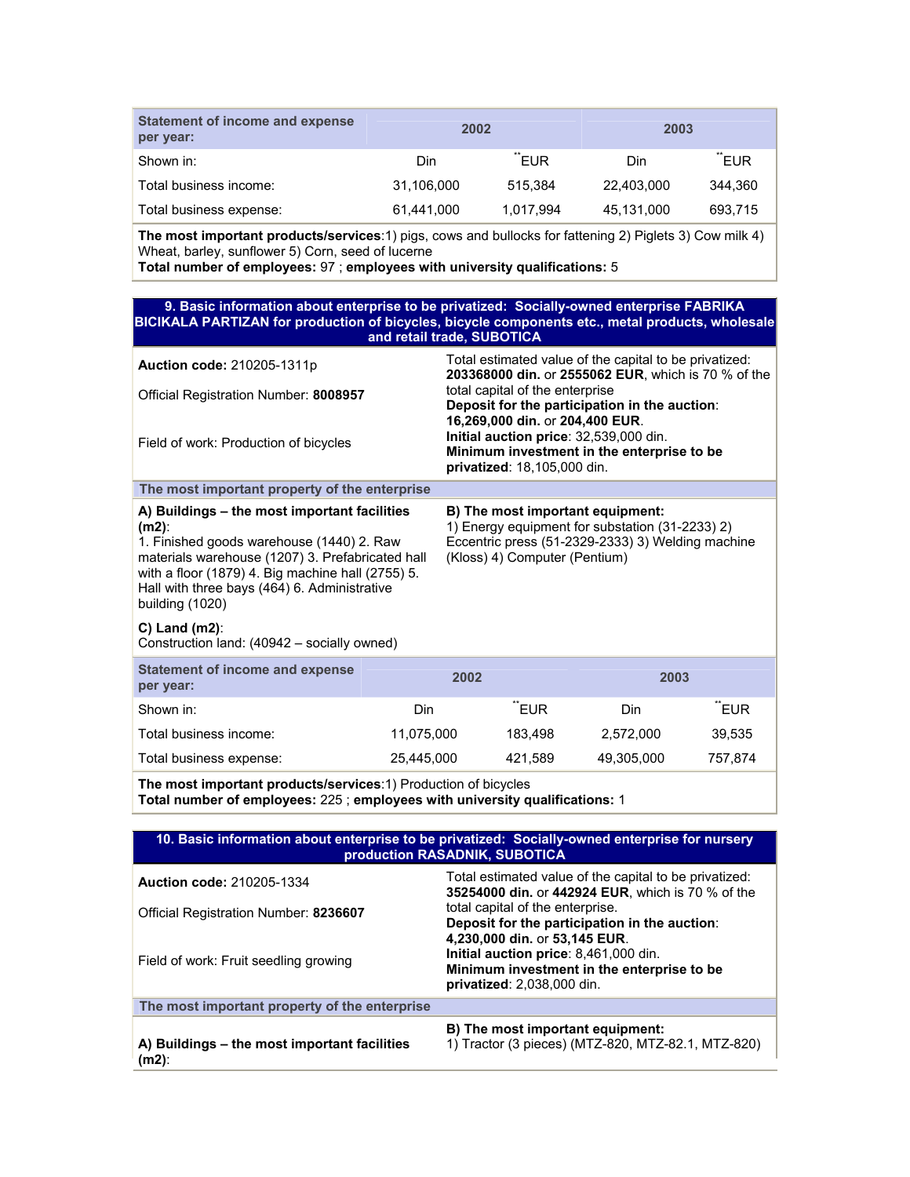| Statement of income and expense<br>per year: | 2002       |           | 2003       |         |
|----------------------------------------------|------------|-----------|------------|---------|
| Shown in:                                    | Din        | "EUR      | Din        | "EUR    |
| Total business income:                       | 31,106,000 | 515.384   | 22,403,000 | 344,360 |
| Total business expense:                      | 61,441,000 | 1.017.994 | 45,131,000 | 693,715 |

**The most important products/services**:1) pigs, cows and bullocks for fattening 2) Piglets 3) Cow milk 4) Wheat, barley, sunflower 5) Corn, seed of lucerne

**Total number of employees:** 97 ; **employees with university qualifications:** 5

| 9. Basic information about enterprise to be privatized: Socially-owned enterprise FABRIKA<br>BICIKALA PARTIZAN for production of bicycles, bicycle components etc., metal products, wholesale<br>and retail trade, SUBOTICA                                                       |     |                                                                                                                                                                           |      |     |  |  |
|-----------------------------------------------------------------------------------------------------------------------------------------------------------------------------------------------------------------------------------------------------------------------------------|-----|---------------------------------------------------------------------------------------------------------------------------------------------------------------------------|------|-----|--|--|
| <b>Auction code: 210205-1311p</b>                                                                                                                                                                                                                                                 |     | Total estimated value of the capital to be privatized:<br>203368000 din. or 2555062 EUR, which is 70 % of the                                                             |      |     |  |  |
| Official Registration Number: 8008957                                                                                                                                                                                                                                             |     | total capital of the enterprise<br>Deposit for the participation in the auction:                                                                                          |      |     |  |  |
| Field of work: Production of bicycles                                                                                                                                                                                                                                             |     | 16,269,000 din. or 204,400 EUR.<br>Initial auction price: 32,539,000 din.<br>Minimum investment in the enterprise to be<br>privatized: 18,105,000 din.                    |      |     |  |  |
| The most important property of the enterprise                                                                                                                                                                                                                                     |     |                                                                                                                                                                           |      |     |  |  |
| A) Buildings – the most important facilities<br>$(m2)$ :<br>1. Finished goods warehouse (1440) 2. Raw<br>materials warehouse (1207) 3. Prefabricated hall<br>with a floor (1879) 4. Big machine hall (2755) 5.<br>Hall with three bays (464) 6. Administrative<br>building (1020) |     | B) The most important equipment:<br>1) Energy equipment for substation (31-2233) 2)<br>Eccentric press (51-2329-2333) 3) Welding machine<br>(Kloss) 4) Computer (Pentium) |      |     |  |  |
| $C$ ) Land (m2):<br>Construction land: (40942 – socially owned)                                                                                                                                                                                                                   |     |                                                                                                                                                                           |      |     |  |  |
| <b>Statement of income and expense</b><br>per year:                                                                                                                                                                                                                               |     | 2002                                                                                                                                                                      | 2003 |     |  |  |
| Shown in:                                                                                                                                                                                                                                                                         | Din | <b>EUR</b>                                                                                                                                                                | Din  | FUR |  |  |

Total business income: 11,075,000 183,498 2,572,000 39,535 Total business expense: 25,445,000 421,589 49,305,000 757,874

**The most important products/services**:1) Production of bicycles **Total number of employees:** 225 ; **employees with university qualifications:** 1

| 10. Basic information about enterprise to be privatized: Socially-owned enterprise for nursery<br>production RASADNIK, SUBOTICA |                                                                                                                                                    |  |  |  |
|---------------------------------------------------------------------------------------------------------------------------------|----------------------------------------------------------------------------------------------------------------------------------------------------|--|--|--|
| <b>Auction code: 210205-1334</b>                                                                                                | Total estimated value of the capital to be privatized:<br>35254000 din. or 442924 EUR, which is 70 % of the                                        |  |  |  |
| Official Registration Number: 8236607                                                                                           | total capital of the enterprise.<br>Deposit for the participation in the auction:                                                                  |  |  |  |
| Field of work: Fruit seedling growing                                                                                           | 4.230.000 din. or 53.145 EUR.<br>Initial auction price: 8,461,000 din.<br>Minimum investment in the enterprise to be<br>privatized: 2,038,000 din. |  |  |  |
| The most important property of the enterprise                                                                                   |                                                                                                                                                    |  |  |  |
| A) Buildings – the most important facilities<br>(m2):                                                                           | B) The most important equipment:<br>1) Tractor (3 pieces) (MTZ-820, MTZ-82.1, MTZ-820)                                                             |  |  |  |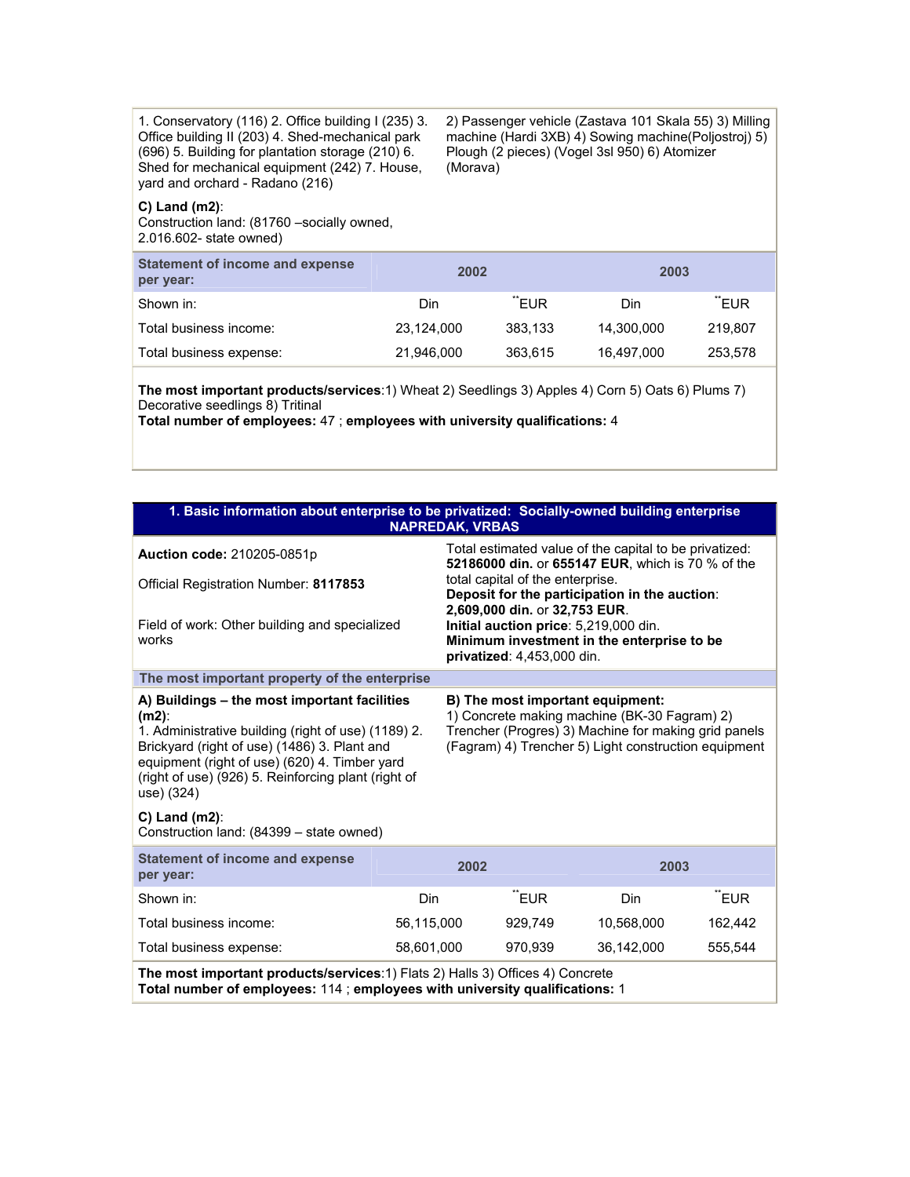1. Conservatory (116) 2. Office building I (235) 3. Office building II (203) 4. Shed-mechanical park (696) 5. Building for plantation storage (210) 6. Shed for mechanical equipment (242) 7. House, yard and orchard - Radano (216)

### **C) Land (m2)**:

Construction land: (81760 –socially owned, 2.016.602- state owned)

**Statement of income and expense per year: 2002 2003**  Shown in: The state of the Shown in: The Shown in: The Shown in: The Shown in: The Shown in: The Shown in the S Total business income: 23,124,000 383,133 14,300,000 219,807 Total business expense: 21,946,000 363,615 16,497,000 253,578

(Morava)

2) Passenger vehicle (Zastava 101 Skala 55) 3) Milling machine (Hardi 3XB) 4) Sowing machine(Poljostroj) 5)

Plough (2 pieces) (Vogel 3sl 950) 6) Atomizer

**The most important products/services**:1) Wheat 2) Seedlings 3) Apples 4) Corn 5) Oats 6) Plums 7) Decorative seedlings 8) Tritinal

**Total number of employees:** 47 ; **employees with university qualifications:** 4

| 1. Basic information about enterprise to be privatized: Socially-owned building enterprise<br><b>NAPREDAK, VRBAS</b>                                                                                                                                                                                                                                                                                                                                                                                                                                      |            |                                                                                                      |         |                                                                                                             |         |  |
|-----------------------------------------------------------------------------------------------------------------------------------------------------------------------------------------------------------------------------------------------------------------------------------------------------------------------------------------------------------------------------------------------------------------------------------------------------------------------------------------------------------------------------------------------------------|------------|------------------------------------------------------------------------------------------------------|---------|-------------------------------------------------------------------------------------------------------------|---------|--|
| <b>Auction code: 210205-0851p</b>                                                                                                                                                                                                                                                                                                                                                                                                                                                                                                                         |            |                                                                                                      |         | Total estimated value of the capital to be privatized:<br>52186000 din. or 655147 EUR. which is 70 % of the |         |  |
| Official Registration Number: 8117853                                                                                                                                                                                                                                                                                                                                                                                                                                                                                                                     |            | total capital of the enterprise.<br>Deposit for the participation in the auction:                    |         |                                                                                                             |         |  |
| Field of work: Other building and specialized<br>works                                                                                                                                                                                                                                                                                                                                                                                                                                                                                                    |            | 2,609,000 din. or 32,753 EUR.<br>Initial auction price: 5,219,000 din.<br>privatized: 4,453,000 din. |         | Minimum investment in the enterprise to be                                                                  |         |  |
| The most important property of the enterprise                                                                                                                                                                                                                                                                                                                                                                                                                                                                                                             |            |                                                                                                      |         |                                                                                                             |         |  |
| A) Buildings – the most important facilities<br>B) The most important equipment:<br>1) Concrete making machine (BK-30 Fagram) 2)<br>$(m2)$ :<br>Trencher (Progres) 3) Machine for making grid panels<br>1. Administrative building (right of use) (1189) 2.<br>(Fagram) 4) Trencher 5) Light construction equipment<br>Brickyard (right of use) (1486) 3. Plant and<br>equipment (right of use) (620) 4. Timber yard<br>(right of use) (926) 5. Reinforcing plant (right of<br>use) (324)<br>$C$ ) Land (m2):<br>Construction land: (84399 - state owned) |            |                                                                                                      |         |                                                                                                             |         |  |
| <b>Statement of income and expense</b><br>per year:                                                                                                                                                                                                                                                                                                                                                                                                                                                                                                       |            | 2002                                                                                                 |         | 2003                                                                                                        |         |  |
| Shown in:                                                                                                                                                                                                                                                                                                                                                                                                                                                                                                                                                 | Din        |                                                                                                      | "EUR    | <b>Din</b>                                                                                                  | "EUR    |  |
| Total business income:                                                                                                                                                                                                                                                                                                                                                                                                                                                                                                                                    | 56,115,000 |                                                                                                      | 929,749 | 10,568,000                                                                                                  | 162,442 |  |
| Total business expense:                                                                                                                                                                                                                                                                                                                                                                                                                                                                                                                                   | 58,601,000 |                                                                                                      | 970,939 | 36,142,000                                                                                                  | 555,544 |  |
| The most important products/services:1) Flats 2) Halls 3) Offices 4) Concrete<br>Total number of employees: 114 ; employees with university qualifications: 1                                                                                                                                                                                                                                                                                                                                                                                             |            |                                                                                                      |         |                                                                                                             |         |  |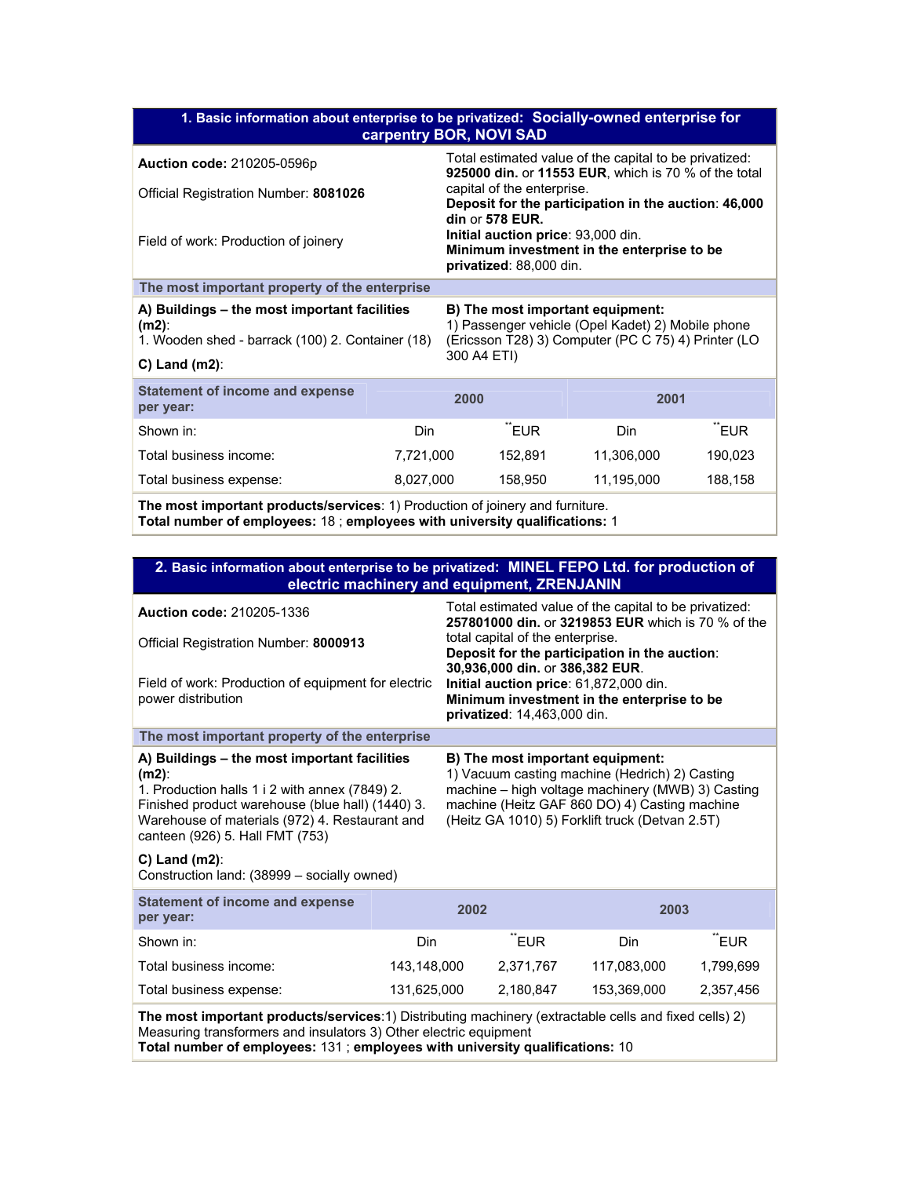| 1. Basic information about enterprise to be privatized: Socially-owned enterprise for<br>carpentry BOR, NOVI SAD |           |                                                                                                                                              |                                                                                    |            |         |  |  |
|------------------------------------------------------------------------------------------------------------------|-----------|----------------------------------------------------------------------------------------------------------------------------------------------|------------------------------------------------------------------------------------|------------|---------|--|--|
| Auction code: 210205-0596p                                                                                       |           | Total estimated value of the capital to be privatized:<br><b>925000 din. or 11553 EUR, which is 70 % of the total</b>                        |                                                                                    |            |         |  |  |
| Official Registration Number: 8081026                                                                            |           |                                                                                                                                              | capital of the enterprise.<br>Deposit for the participation in the auction: 46,000 |            |         |  |  |
| Field of work: Production of joinery                                                                             |           | din or 578 EUR.<br>Initial auction price: 93,000 din.<br>Minimum investment in the enterprise to be<br>privatized: 88,000 din.               |                                                                                    |            |         |  |  |
| The most important property of the enterprise                                                                    |           |                                                                                                                                              |                                                                                    |            |         |  |  |
| A) Buildings – the most important facilities<br>$(m2)$ :<br>1. Wooden shed - barrack (100) 2. Container (18)     |           | B) The most important equipment:<br>1) Passenger vehicle (Opel Kadet) 2) Mobile phone<br>(Ericsson T28) 3) Computer (PC C 75) 4) Printer (LO |                                                                                    |            |         |  |  |
| $C$ ) Land (m2):                                                                                                 |           | 300 A4 ETI)                                                                                                                                  |                                                                                    |            |         |  |  |
| <b>Statement of income and expense</b><br>per year:                                                              |           | 2000                                                                                                                                         |                                                                                    | 2001       |         |  |  |
| Shown in:                                                                                                        | Din       |                                                                                                                                              | "EUR                                                                               | Din        | "EUR    |  |  |
| Total business income:                                                                                           | 7,721,000 |                                                                                                                                              | 152,891                                                                            | 11,306,000 | 190,023 |  |  |
| Total business expense:                                                                                          | 8,027,000 |                                                                                                                                              | 158,950                                                                            | 11,195,000 | 188,158 |  |  |
| The mead bones that must producte becomband the Draduation of injury conditional                                 |           |                                                                                                                                              |                                                                                    |            |         |  |  |

**The most important products/services**: 1) Production of joinery and furniture. **Total number of employees:** 18 ; **employees with university qualifications:** 1

# **2. Basic information about enterprise to be privatized: MINEL FEPO Ltd. for production of electric machinery and equipment, ZRENJANIN**

| <b>Auction code: 210205-1336</b><br>Official Registration Number: 8000913<br>Field of work: Production of equipment for electric<br>power distribution                                                                                                                                                                                                                                                                                                                                                                                                                |             | Total estimated value of the capital to be privatized:<br>257801000 din. or 3219853 EUR which is 70 % of the<br>total capital of the enterprise.<br>Deposit for the participation in the auction:<br>30,936,000 din. or 386,382 EUR.<br>Initial auction price: 61,872,000 din.<br>Minimum investment in the enterprise to be<br>privatized: 14,463,000 din. |           |             |           |
|-----------------------------------------------------------------------------------------------------------------------------------------------------------------------------------------------------------------------------------------------------------------------------------------------------------------------------------------------------------------------------------------------------------------------------------------------------------------------------------------------------------------------------------------------------------------------|-------------|-------------------------------------------------------------------------------------------------------------------------------------------------------------------------------------------------------------------------------------------------------------------------------------------------------------------------------------------------------------|-----------|-------------|-----------|
| The most important property of the enterprise                                                                                                                                                                                                                                                                                                                                                                                                                                                                                                                         |             |                                                                                                                                                                                                                                                                                                                                                             |           |             |           |
| A) Buildings – the most important facilities<br>B) The most important equipment:<br>1) Vacuum casting machine (Hedrich) 2) Casting<br>$(m2)$ :<br>machine - high voltage machinery (MWB) 3) Casting<br>1. Production halls 1 i 2 with annex (7849) 2.<br>Finished product warehouse (blue hall) (1440) 3.<br>machine (Heitz GAF 860 DO) 4) Casting machine<br>Warehouse of materials (972) 4. Restaurant and<br>(Heitz GA 1010) 5) Forklift truck (Detvan 2.5T)<br>canteen (926) 5. Hall FMT (753)<br>$C$ ) Land (m2):<br>Construction land: (38999 - socially owned) |             |                                                                                                                                                                                                                                                                                                                                                             |           |             |           |
| <b>Statement of income and expense</b><br>per year:                                                                                                                                                                                                                                                                                                                                                                                                                                                                                                                   | 2002        |                                                                                                                                                                                                                                                                                                                                                             | 2003      |             |           |
| Shown in:                                                                                                                                                                                                                                                                                                                                                                                                                                                                                                                                                             | <b>Din</b>  |                                                                                                                                                                                                                                                                                                                                                             | "EUR      | Din         | "EUR      |
| Total business income:                                                                                                                                                                                                                                                                                                                                                                                                                                                                                                                                                | 143,148,000 |                                                                                                                                                                                                                                                                                                                                                             | 2,371,767 | 117,083,000 | 1,799,699 |
| Total business expense:                                                                                                                                                                                                                                                                                                                                                                                                                                                                                                                                               | 131,625,000 |                                                                                                                                                                                                                                                                                                                                                             | 2,180,847 | 153,369,000 | 2,357,456 |
| The most important products/services:1) Distributing machinery (extractable cells and fixed cells) 2)<br>Measuring transformers and insulators 3) Other electric equipment<br>Total number of employees: 131; employees with university qualifications: 10                                                                                                                                                                                                                                                                                                            |             |                                                                                                                                                                                                                                                                                                                                                             |           |             |           |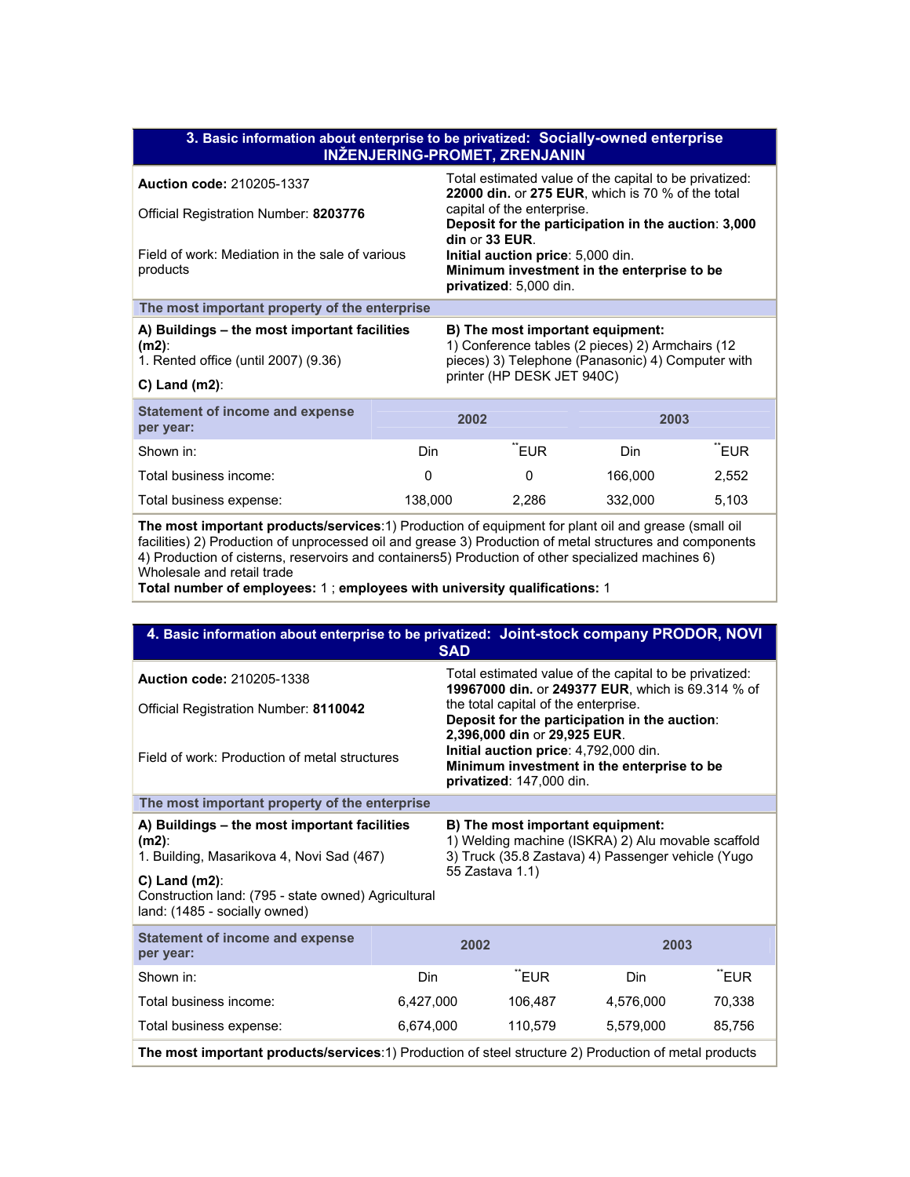| 3. Basic information about enterprise to be privatized: Socially-owned enterprise<br><b>INŽENJERING-PROMET, ZRENJANIN</b>                                                                                                           |         |                                                                                                                                           |         |       |  |  |
|-------------------------------------------------------------------------------------------------------------------------------------------------------------------------------------------------------------------------------------|---------|-------------------------------------------------------------------------------------------------------------------------------------------|---------|-------|--|--|
| <b>Auction code: 210205-1337</b>                                                                                                                                                                                                    |         | Total estimated value of the capital to be privatized:<br>22000 din. or 275 EUR, which is 70 % of the total                               |         |       |  |  |
| Official Registration Number: 8203776                                                                                                                                                                                               |         | capital of the enterprise.<br>Deposit for the participation in the auction: 3,000                                                         |         |       |  |  |
| Field of work: Mediation in the sale of various<br>products                                                                                                                                                                         |         | din or 33 EUR.<br>Initial auction price: 5,000 din.<br>Minimum investment in the enterprise to be<br>privatized: 5,000 din.               |         |       |  |  |
| The most important property of the enterprise                                                                                                                                                                                       |         |                                                                                                                                           |         |       |  |  |
| A) Buildings – the most important facilities<br>$(m2)$ :<br>1. Rented office (until 2007) (9.36)                                                                                                                                    |         | B) The most important equipment:<br>1) Conference tables (2 pieces) 2) Armchairs (12<br>pieces) 3) Telephone (Panasonic) 4) Computer with |         |       |  |  |
| $C$ ) Land (m2):                                                                                                                                                                                                                    |         | printer (HP DESK JET 940C)                                                                                                                |         |       |  |  |
| <b>Statement of income and expense</b><br>per year:                                                                                                                                                                                 |         | 2002                                                                                                                                      | 2003    |       |  |  |
| Shown in:                                                                                                                                                                                                                           | Din.    | TEUR <sup>"</sup>                                                                                                                         | Din.    | "EUR  |  |  |
| Total business income:                                                                                                                                                                                                              | 0       | 0                                                                                                                                         | 166,000 | 2,552 |  |  |
| Total business expense:                                                                                                                                                                                                             | 138,000 | 2,286                                                                                                                                     | 332,000 | 5,103 |  |  |
| the second contract of the contract of the contract of the contract of the contract of the contract of the contract of the contract of the contract of the contract of the contract of the contract of the contract of the con<br>. |         |                                                                                                                                           |         |       |  |  |

**The most important products/services**:1) Production of equipment for plant oil and grease (small oil facilities) 2) Production of unprocessed oil and grease 3) Production of metal structures and components 4) Production of cisterns, reservoirs and containers5) Production of other specialized machines 6) Wholesale and retail trade

**Total number of employees:** 1 ; **employees with university qualifications:** 1

| 4. Basic information about enterprise to be privatized: Joint-stock company PRODOR, NOVI<br><b>SAD</b>                                                                                                           |                                                                                                                                                                 |                                                                                                                                                 |         |           |        |  |
|------------------------------------------------------------------------------------------------------------------------------------------------------------------------------------------------------------------|-----------------------------------------------------------------------------------------------------------------------------------------------------------------|-------------------------------------------------------------------------------------------------------------------------------------------------|---------|-----------|--------|--|
| <b>Auction code: 210205-1338</b>                                                                                                                                                                                 |                                                                                                                                                                 | Total estimated value of the capital to be privatized:<br>19967000 din. or 249377 EUR, which is 69.314 % of                                     |         |           |        |  |
| Official Registration Number: 8110042                                                                                                                                                                            |                                                                                                                                                                 | the total capital of the enterprise.<br>Deposit for the participation in the auction:                                                           |         |           |        |  |
| Field of work: Production of metal structures                                                                                                                                                                    |                                                                                                                                                                 | 2,396,000 din or 29,925 EUR.<br>Initial auction price: 4,792,000 din.<br>Minimum investment in the enterprise to be<br>privatized: 147,000 din. |         |           |        |  |
| The most important property of the enterprise                                                                                                                                                                    |                                                                                                                                                                 |                                                                                                                                                 |         |           |        |  |
| A) Buildings – the most important facilities<br>$(m2)$ :<br>1. Building, Masarikova 4, Novi Sad (467)<br>$C)$ Land (m2):<br>Construction land: (795 - state owned) Agricultural<br>land: (1485 - socially owned) | B) The most important equipment:<br>1) Welding machine (ISKRA) 2) Alu movable scaffold<br>3) Truck (35.8 Zastava) 4) Passenger vehicle (Yugo<br>55 Zastava 1.1) |                                                                                                                                                 |         |           |        |  |
| <b>Statement of income and expense</b><br>per year:                                                                                                                                                              |                                                                                                                                                                 | 2002                                                                                                                                            |         | 2003      |        |  |
| Shown in:                                                                                                                                                                                                        | Din.                                                                                                                                                            |                                                                                                                                                 | "EUR    | Din.      | "EUR   |  |
| Total business income:                                                                                                                                                                                           | 6,427,000                                                                                                                                                       |                                                                                                                                                 | 106,487 | 4,576,000 | 70,338 |  |
| Total business expense:                                                                                                                                                                                          | 6,674,000                                                                                                                                                       |                                                                                                                                                 | 110,579 | 5,579,000 | 85,756 |  |
| The most important products/services:1) Production of steel structure 2) Production of metal products                                                                                                            |                                                                                                                                                                 |                                                                                                                                                 |         |           |        |  |